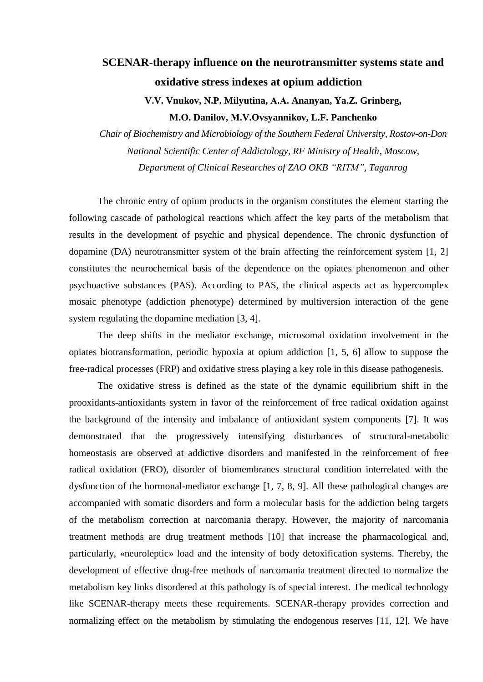## **SCENAR-therapy influence on the [neurotransmitter systems](http://www.multitran.ru/c/m.exe?t=3647257_1_2) state and [oxidative stress](http://www.multitran.ru/c/m.exe?t=4239893_1_2) indexes at [opium addiction](http://www.multitran.ru/c/m.exe?t=314693_1_2)**

**V.V. Vnukov, N.P. Milyutina, А.А. Ananyan, Ya.Z. Grinberg, М.О. Danilov, М.V.Ovsyannikov, L.F. Panchenko**

*Chair of Biochemistry and Microbiology of the Southern Federal University, Rostov-on-Don National Scientific Center of Addictology, RF Ministry of Health, Moscow, Department of Clinical Researches of ZAO OKB "RITM", Taganrog*

The chronic entry of opium products in the organism constitutes the element starting the following cascade of pathological reactions which affect the key parts of the metabolism that results in the development of psychic and physical dependence. The chronic dysfunction of dopamine (DA) neurotransmitter system of the brain affecting the reinforcement system [1, 2] constitutes the [neurochemical](http://www.multitran.ru/c/m.exe?t=4746635_1_2) basis of the dependence on the opiates phenomenon and other [psychoactive substances](http://www.multitran.ru/c/m.exe?t=3559238_1_2) (PAS). According to PAS, the clinical aspects act as hypercomplex mosaic [phenotype](http://www.multitran.ru/c/m.exe?t=3852796_1_2) (addiction phenotype) determined by multiversion interaction of the gene system regulating the dopamine mediation [3, 4].

The deep shifts in the mediator exchange, [microsomal](http://www.multitran.ru/c/m.exe?t=4599379_1_2) oxidation involvement in the opiates biotransformation, periodic hypoxia at [opium addiction](http://www.multitran.ru/c/m.exe?t=314693_1_2) [1, 5, 6] allow to suppose the free-radical processes (FRP) and [oxidative stress](http://www.multitran.ru/c/m.exe?t=4239893_1_2) playing a key role in this disease pathogenesis.

The [oxidative stress](http://www.multitran.ru/c/m.exe?t=4239893_1_2) is defined as the state of the dynamic equilibrium shift in the prooxidants-antioxidants system in favor of the reinforcement of free radical oxidation against the background of the intensity and imbalance of antioxidant system components [7]. It was demonstrated that the progressively intensifying disturbances of structural-metabolic homeostasis are observed at addictive disorders and manifested in the reinforcement of free radical oxidation (FRO), disorder of biomembranes structural condition interrelated with the dysfunction of the hormonal-mediator exchange [1, 7, 8, 9]. All these pathological changes are accompanied with somatic disorders and form a molecular basis for the addiction being targets of the metabolism correction at narcomania therapy. However, the majority of narcomania treatment methods are drug treatment methods [10] that increase the [pharmacological](http://www.multitran.ru/c/m.exe?t=1572633_1_2) and, [particularly,](http://www.multitran.ru/c/m.exe?t=74658_1_2) [«neuroleptic»](http://www.multitran.ru/c/m.exe?t=347047_1_2) load and the intensity of body [detoxification](http://www.multitran.ru/c/m.exe?t=1448384_1_2) systems. Thereby, the development of effective drug-free methods of narcomania treatment directed to normalize the metabolism key links disordered at this pathology is of special interest. The medical technology like SCENAR-therapy meets these requirements. SCENAR-therapy provides correction and normalizing effect on the metabolism by stimulating the [endogenous](http://www.multitran.ru/c/m.exe?t=127988_1_2) reserves [11, 12]. We have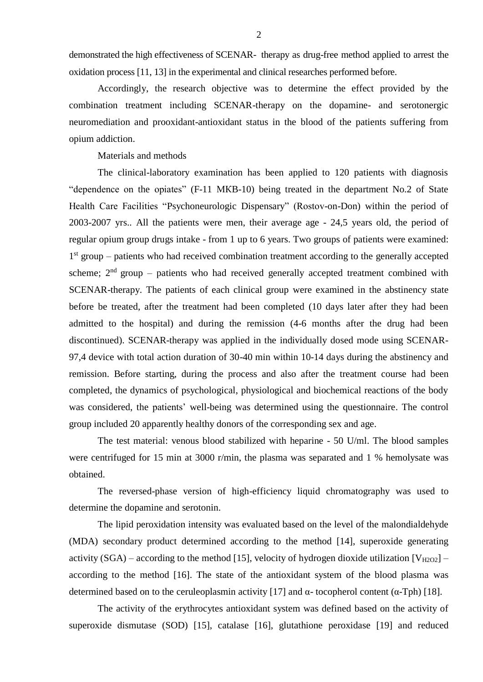demonstrated the high effectiveness of SCENAR- therapy as drug-free method applied to arrest the oxidation process [11, 13] in the experimental and clinical researches performed before.

Accordingly, the research objective was to determine the effect provided by the combination treatment including SCENAR-therapy on the dopamine- and [serotonergic](http://www.multitran.ru/c/m.exe?t=4627776_1_2) neuromediation and prooxidant-antioxidant status in the blood of the patients suffering from [opium addiction.](http://www.multitran.ru/c/m.exe?t=314693_1_2)

Materials and methods

The clinical-laboratory examination has been applied to 120 patients with diagnosis "dependence on the opiates" (F-11 МКB-10) being treated in the department No.2 of State Health Care Facilities ["Psychoneurologic Dispensary"](http://www.multitran.ru/c/m.exe?t=2603558_1_2) (Rostov-on-Don) within the period of 2003-2007 yrs.. All the patients were men, their average age - 24,5 years old, the period of regular opium group drugs intake - from 1 up to 6 years. Two groups of patients were examined: 1<sup>st</sup> group – patients who had received combination treatment according to the generally accepted scheme;  $2<sup>nd</sup>$  group – patients who had received generally accepted treatment combined with SCENAR-therapy. The patients of each clinical group were examined in the abstinency state before be treated, after the treatment had been completed (10 days later after they had been admitted to the hospital) and during the remission (4-6 months after the drug had been discontinued). SCENAR-therapy was applied in the individually dosed mode using SCENAR-97,4 device with total action duration of 30-40 min within 10-14 days during the [abstinency](http://www.multitran.ru/c/m.exe?t=2754395_1_2) and remission. Before starting, during the process and also after the treatment course had been completed, the dynamics of psychological, physiological and biochemical reactions of the body was considered, the patients' well-being was determined using the questionnaire. The control group included 20 [apparently healthy](http://www.multitran.ru/c/m.exe?t=337520_1_2) donors of the corresponding sex and age.

The test material: [venous blood](http://www.multitran.ru/c/m.exe?t=1151939_1_2) stabilized with [heparine](http://www.multitran.ru/c/m.exe?t=4309194_1_2) - 50 U/ml. The blood samples were [centrifuged](http://www.multitran.ru/c/m.exe?t=323910_1_2) for 15 min at 3000 r/min, the plasma was separated and 1 % [hemolysate](http://www.multitran.ru/c/m.exe?t=2745496_1_2) was obtained.

The reversed-phase version of [high-efficiency liquid chromatography](http://www.multitran.ru/c/m.exe?t=1322676_1_2) was used to determine the dopamine and [serotonin.](http://www.multitran.ru/c/m.exe?t=717030_1_2)

The lipid peroxidation intensity was evaluated based on the level of the [malondialdehyde](http://www.multitran.ru/c/m.exe?t=4173299_1_2) (MDA) secondary product determined according to the method [14], superoxide generating activity (SGA) – according to the method [15], velocity of [hydrogen dioxide](http://www.multitran.ru/c/m.exe?t=328822_1_2) utilization  $[V_{H2O2}]$  – according to the method [16]. The state of the antioxidant system of the blood plasma was determined based on to the [ceruleoplasmin](http://www.multitran.ru/c/m.exe?t=2742546_1_2) activity [17] and  $\alpha$ - [tocopherol](http://www.multitran.ru/c/m.exe?t=3218488_1_2) content ( $\alpha$ -Tph) [18].

The activity of the [erythrocytes](http://www.multitran.ru/c/m.exe?t=4308480_1_2) antioxidant system was defined based on the activity of [superoxide dismutase](http://www.multitran.ru/c/m.exe?t=2608723_1_2) (SOD) [15], [catalase](http://www.multitran.ru/c/m.exe?t=4007576_1_2) [16], [glutathione peroxidase](http://www.multitran.ru/c/m.exe?t=4737619_1_2) [19] and [reduced](http://www.multitran.ru/c/m.exe?t=2604762_1_2)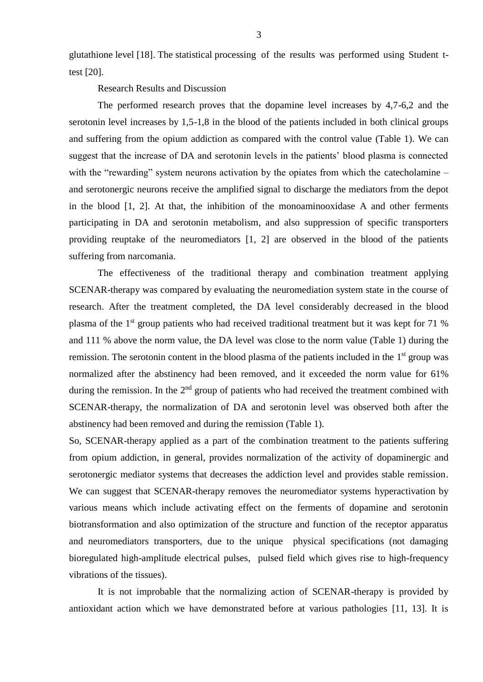[glutathione](http://www.multitran.ru/c/m.exe?t=2604762_1_2) level [18]. The statistical processing of the results was performed using [Student t](http://www.multitran.ru/c/m.exe?t=4801504_1_2)[test](http://www.multitran.ru/c/m.exe?t=4801504_1_2) [20].

Research Results and Discussion

The performed research proves that the dopamine level increases by 4,7-6,2 and the [serotonin](http://www.multitran.ru/c/m.exe?t=717030_1_2) level increases by 1,5-1,8 in the blood of the patients included in both clinical groups and suffering from the [opium addiction](http://www.multitran.ru/c/m.exe?t=314693_1_2) as compared with the control value (Table 1). We can suggest that the increase of DA and serotonin levels in the patients' blood plasma is connected with the "rewarding" system neurons activation by the opiates from which the [catecholamine](http://www.multitran.ru/c/m.exe?t=647899_1_2) – and [serotonergic](http://www.multitran.ru/c/m.exe?t=4627776_1_2) neurons receive the [amplified signal](http://www.multitran.ru/c/m.exe?t=956053_1_2) to discharge the mediators from the depot in the blood [1, 2]. At that, the [inhibition](http://www.multitran.ru/c/m.exe?t=340612_1_2) of the [monoaminooxidase](http://www.multitran.ru/c/m.exe?t=4615225_1_2) A and other ferments participating in DA and serotonin metabolism, and also suppression of specific transporters providing reuptake of the neuromediators [1, 2] are observed in the blood of the patients suffering from narcomania.

The effectiveness of the traditional therapy and combination treatment applying SCENAR-therapy was compared by evaluating the neuromediation system state in the course of research. After the treatment completed, the DA level considerably decreased in the blood plasma of the 1st group patients who had received traditional treatment but it was kept for 71 % and 111 % above the norm value, the DA level was close to the norm value (Table 1) during the remission. The serotonin content in the blood plasma of the patients included in the 1<sup>st</sup> group was normalized after the [abstinency](http://www.multitran.ru/c/m.exe?t=367654_1_2) had been removed, and it exceeded the norm value for 61% during the remission. In the  $2<sup>nd</sup>$  group of patients who had received the treatment combined with SCENAR-therapy, the normalization of DA and serotonin level was observed both after the [abstinency](http://www.multitran.ru/c/m.exe?t=367654_1_2) had been removed and during the remission (Table 1).

So, SCENAR-therapy applied as a part of the combination treatment to the patients suffering from [opium addiction,](http://www.multitran.ru/c/m.exe?t=314693_1_2) in general, provides normalization of the activity of [dopaminergic](http://www.multitran.ru/c/m.exe?t=4099613_1_2) and [serotonergic](http://www.multitran.ru/c/m.exe?t=4627776_1_2) mediator systems that decreases the addiction level and provides stable remission. We can suggest that SCENAR-therapy removes the neuromediator systems hyperactivation by various means which include activating effect on the ferments of dopamine and serotonin biotransformation and also optimization of the structure and function of the receptor apparatus and neuromediators transporters, due to the unique physical specifications (not damaging bioregulated high-amplitude electrical pulses, pulsed field [which gives rise to high-frequency](http://www.multitran.ru/c/m.exe?t=2997368_1_2)  [vibrations](http://www.multitran.ru/c/m.exe?t=2997368_1_2) of the tissues).

[It is not improbable that](http://www.multitran.ru/c/m.exe?t=3486130_1_2&ifp=1) the normalizing action of SCENAR-therapy is provided by antioxidant action which we have demonstrated before at various pathologies [11, 13]. It is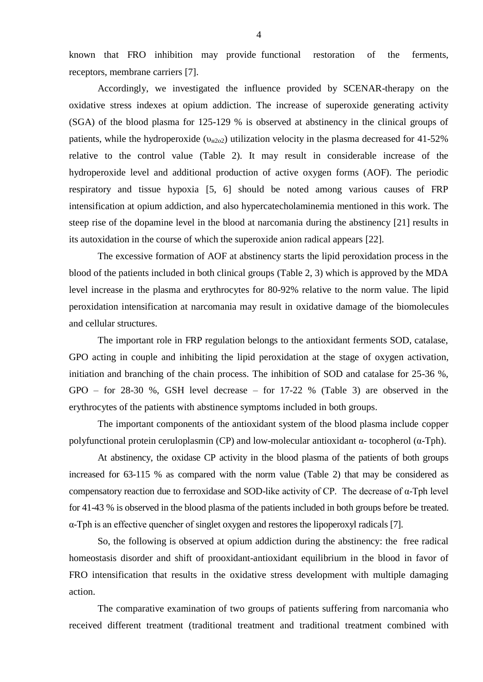known that FRO inhibition may provide functional restoration of the ferments, receptors, membrane carriers [7].

Accordingly, we investigated the influence provided by SCENAR-therapy on the [oxidative stress](http://www.multitran.ru/c/m.exe?t=4239893_1_2) indexes at opium addiction. The increase of superoxide generating activity (SGA) of the blood plasma for 125-129 % is observed at [abstinency](http://www.multitran.ru/c/m.exe?t=367654_1_2) in the clinical groups of patients, while the [hydroperoxide](http://www.multitran.ru/c/m.exe?t=452108_1_2) ( $v_{H202}$ ) utilization velocity in the plasma decreased for 41-52% relative to the control value (Table 2). It may result in considerable increase of the [hydroperoxide](http://www.multitran.ru/c/m.exe?t=452108_1_2) level and additional production of active oxygen forms (AOF). The periodic [respiratory and tissue hypoxia](http://www.multitran.ru/c/m.exe?t=2605143_1_2) [5, 6] should be noted among various causes of FRP intensification at [opium addiction,](http://www.multitran.ru/c/m.exe?t=314693_1_2) and also hypercatecholaminemia mentioned in this work. The steep rise of the dopamine level in the blood at narcomania during the [abstinency](http://www.multitran.ru/c/m.exe?t=367654_1_2) [21] results in its [autoxidation](http://www.multitran.ru/c/m.exe?t=911929_1_2) in the course of which the superoxide anion radical appears [22].

The excessive formation of AOF at [abstinency](http://www.multitran.ru/c/m.exe?t=367654_1_2) starts the lipid peroxidation process in the blood of the patients included in both clinical groups (Table 2, 3) which is approved by the MDA level increase in the plasma and erythrocytes for 80-92% relative to the norm value. The lipid peroxidation intensification at narcomania may result in [oxidative damage](http://www.multitran.ru/c/m.exe?t=4796285_1_2) of the [biomolecules](http://www.multitran.ru/c/m.exe?t=642995_1_2) and [cellular structures](http://www.multitran.ru/c/m.exe?t=1417788_1_2).

The important role in FRP regulation belongs to the antioxidant ferments SOD, catalase, GPO acting in couple and inhibiting the lipid peroxidation at the stage of oxygen activation, initiation and branching of the chain process. The inhibition of SOD and catalase for 25-36 %, GPO – for 28-30 %, GSH level decrease – for 17-22 % (Table 3) are observed in the erythrocytes of the patients with [abstinence symptoms](http://www.multitran.ru/c/m.exe?t=361540_1_2) included in both groups.

The important components of the antioxidant system of the blood plasma include [copper](http://www.multitran.ru/c/m.exe?t=4820926_1_2)  [polyfunctional](http://www.multitran.ru/c/m.exe?t=4820926_1_2) protein [ceruloplasmin](http://www.multitran.ru/c/m.exe?t=914979_1_2) (CP) and [low-molecular](http://www.multitran.ru/c/m.exe?t=343792_1_2) antioxidant α- [tocopherol](http://www.multitran.ru/c/m.exe?t=3218488_1_2) (α-Tph).

At [abstinency,](http://www.multitran.ru/c/m.exe?t=367654_1_2) the oxidase CP activity in the blood plasma of the patients of both groups increased for 63-115 % as compared with the norm value (Table 2) that may be considered as [compensatory reaction](http://www.multitran.ru/c/m.exe?t=2759280_1_2) due to ferroxidase and SOD-like activity of CP. The decrease of α-Тph level for 41-43 % is observed in the blood plasma of the patients included in both groups before be treated. α-Тph is an effective quencher of [singlet oxygen](http://www.multitran.ru/c/m.exe?t=3167056_1_2) and restores the lip[operoxyl](http://www.multitran.ru/c/m.exe?t=3105671_1_2) radicals [7].

So, the following is observed at opium addiction during the [abstinency:](http://www.multitran.ru/c/m.exe?t=367654_1_2) the free radical homeostasis disorder and shift of prooxidant-antioxidant equilibrium in the blood in favor of FRO intensification that results in the oxidative stress development with multiple damaging action.

The comparative examination of two groups of patients suffering from narcomania who received different treatment (traditional treatment and traditional treatment combined with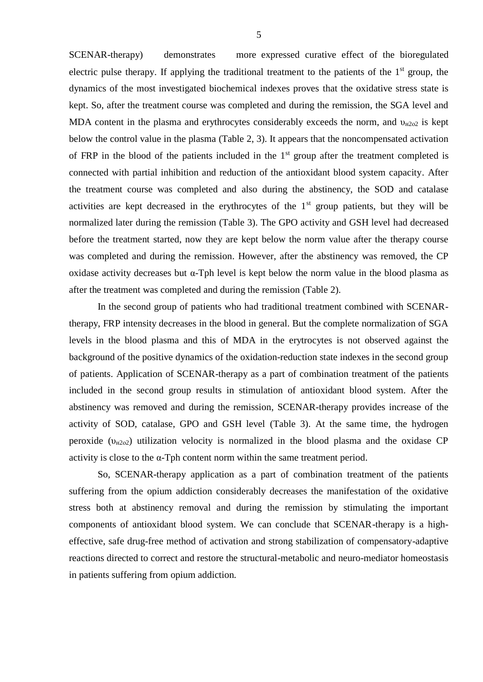SCENAR-therapy) demonstrates more expressed curative effect of the bioregulated electric pulse therapy. If applying the traditional treatment to the patients of the  $1<sup>st</sup>$  group, the dynamics of the most investigated biochemical indexes proves that the oxidative stress state is kept. So, after the treatment course was completed and during the remission, the SGA level and MDA content in the plasma and erythrocytes considerably exceeds the norm, and  $v_{H202}$  is kept below the control value in the plasma (Table 2, 3). It appears that the noncompensated activation of FRP in the blood of the patients included in the  $1<sup>st</sup>$  group after the treatment completed is connected with partial inhibition and reduction of the antioxidant blood system capacity. After the treatment course was completed and also during the abstinency, the SOD and catalase activities are kept decreased in the erythrocytes of the  $1<sup>st</sup>$  group patients, but they will be normalized later during the remission (Table 3). The GPO activity and GSH level had decreased before the treatment started, now they are kept below the norm value after the therapy course was completed and during the remission. However, after the abstinency was removed, the CP oxidase activity decreases but α-Тph level is kept below the norm value in the blood plasma as after the treatment was completed and during the remission (Table 2).

In the second group of patients who had traditional treatment combined with SCENARtherapy, FRP intensity decreases in the blood in general. But the complete normalization of SGA levels in the blood plasma and this of MDA in the erytrocytes is not observed against the background of the positive dynamics of the [oxidation-reduction](http://www.multitran.ru/c/m.exe?t=2373316_1_2) state indexes in the second group of patients. Application of SCENAR-therapy as a part of combination treatment of the patients included in the second group results in stimulation of antioxidant blood system. After the abstinency was removed and during the remission, SCENAR-therapy provides increase of the activity of SOD, catalase, GPO and GSH level (Table 3). At the same time, the [hydrogen](http://www.multitran.ru/c/m.exe?t=4309454_1_2)  [peroxide](http://www.multitran.ru/c/m.exe?t=4309454_1_2)  $(v_{H202})$  utilization velocity is normalized in the blood plasma and the oxidase CP activity is close to the  $\alpha$ -Tph content norm within the same treatment period.

So, SCENAR-therapy application as a part of combination treatment of the patients suffering from the opium addiction considerably decreases the manifestation of the oxidative stress both at abstinency removal and during the remission by stimulating the important components of antioxidant blood system. We can conclude that SCENAR-therapy is a higheffective, safe drug-free method of activation and strong stabilization of compensatory-adaptive reactions directed to correct and restore the structural-metabolic and neuro-mediator homeostasis in patients suffering from opium addiction.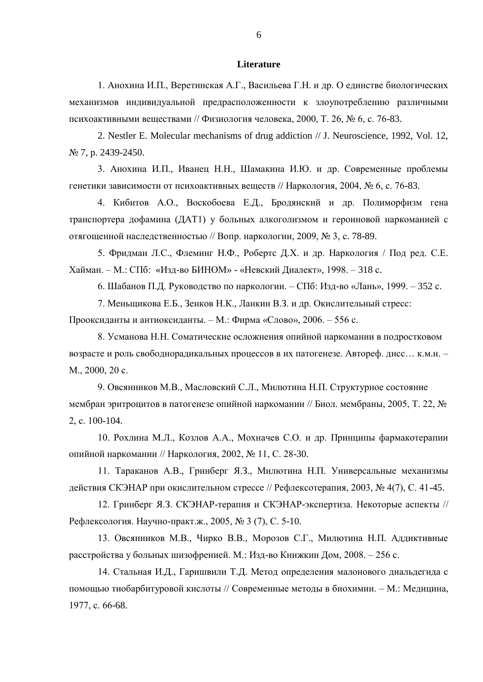## **Literature**

1. Анохина И.П., Веретинская А.Г., Васильева Г.Н. и др. О единстве биологических механизмов индивидуальной предрасположенности к злоупотреблению различными психоактивными веществами // Физиология человека, 2000, Т. 26, № 6, с. 76-83.

2. Nestler E. Molecular mechanisms of drug addiction // J. Neuroscience, 1992, Vol. 12, № 7, p. 2439-2450.

3. Анохина И.П., Иванец Н.Н., Шамакина И.Ю. и др. Современные проблемы генетики зависимости от психоактивных веществ // Наркология, 2004, № 6, с. 76-83.

4. Кибитов А.О., Воскобоева Е.Д., Бродянский и др. Полиморфизм гена транспортера дофамина (ДАТ1) у больных алкоголизмом и героиновой наркоманией с отягощенной наследственностью // Вопр. наркологии, 2009, № 3, с. 78-89.

5. Фридман Л.С., Флеминг Н.Ф., Робертс Д.Х. и др. Наркология / Под ред. С.Е. Хайман. – М.: СПб: «Изд-во БИНОМ» - «Невский Диалект», 1998. – 318 с.

6. Шабанов П.Д. Руководство по наркологии. – СПб: Изд-во «Лань», 1999. – 352 с.

7. Меньщикова Е.Б., Зенков Н.К., Ланкин В.З. и др. Окислительный стресс:

Прооксиданты и антиоксиданты. – М.: Фирма «Слово», 2006. – 556 с.

8. Усманова Н.Н. Соматические осложнения опийной наркомании в подростковом возрасте и роль свободнорадикальных процессов в их патогенезе. Автореф. дисс… к.м.н. – М., 2000, 20 с.

9. Овсянников М.В., Масловский С.Л., Милютина Н.П. Структурное состояние мембран эритроцитов в патогенезе опийной наркомании // Биол. мембраны, 2005, Т. 22, № 2, с. 100-104.

10. Рохлина М.Л., Козлов А.А., Мохначев С.О. и др. Принципы фармакотерапии опийной наркомании // Наркология, 2002, № 11, С. 28-30.

11. Тараканов А.В., Гринберг Я.З., Милютина Н.П. Универсальные механизмы действия СКЭНАР при окислительном стрессе // Рефлексотерапия, 2003, № 4(7), С. 41-45.

12. Гринберг Я.З. СКЭНАР-терапия и СКЭНАР-экспертиза. Некоторые аспекты // Рефлексология. Научно-практ.ж., 2005, № 3 (7), С. 5-10.

13. Овсянников М.В., Чирко В.В., Морозов С.Г., Милютина Н.П. Аддиктивные расстройства у больных шизофренией. М.: Изд-во Книжкин Дом, 2008. – 256 с.

14. Стальная И.Д., Гаришвили Т.Д. Метод определения малонового диальдегида с помощью тиобарбитуровой кислоты // Современные методы в биохимии. – М.: Медицина, 1977, с. 66-68.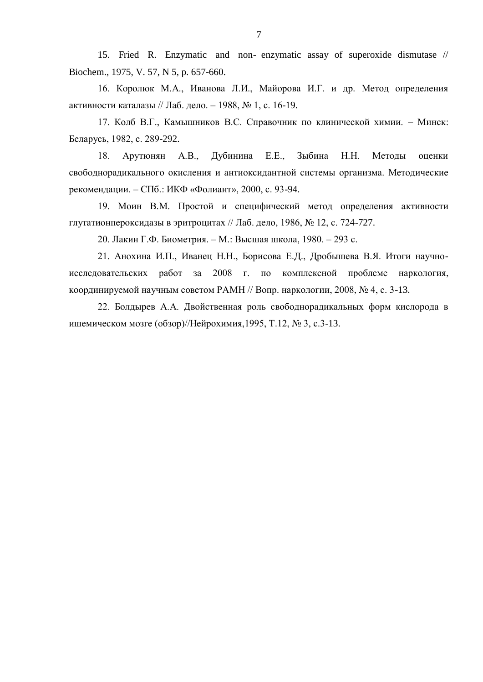15. Fried R. Enzymatic and non- enzymatic assay of superoxide dismutase // Biochem., 1975, V. 57, N 5, p. 657-660.

16. Королюк М.А., Иванова Л.И., Майорова И.Г. и др. Метод определения активности каталазы // Лаб. дело. – 1988, № 1, с. 16-19.

17. Колб В.Г., Камышников В.С. Справочник по клинической химии. – Минск: Беларусь, 1982, с. 289-292.

18. Арутюнян А.В., Дубинина Е.Е., Зыбина Н.Н. Методы оценки свободнорадикального окисления и антиоксидантной системы организма. Методические рекомендации. – СПб.: ИКФ «Фолиант», 2000, с. 93-94.

19. Моин В.М. Простой и специфический метод определения активности глутатионпероксидазы в эритроцитах // Лаб. дело, 1986, № 12, с. 724-727.

20. Лакин Г.Ф. Биометрия. – М.: Высшая школа, 1980. – 293 с.

21. Анохина И.П., Иванец Н.Н., Борисова Е.Д., Дробышева В.Я. Итоги научноисследовательских работ за 2008 г. по комплексной проблеме наркология, координируемой научным советом РАМН // Вопр. наркологии, 2008, № 4, с. 3-13.

22. Болдырев А.А. Двойственная роль свободнорадикальных форм кислорода в ишемическом мозге (обзор)//Нейрохимия,1995, Т.12, № 3, с.3-13.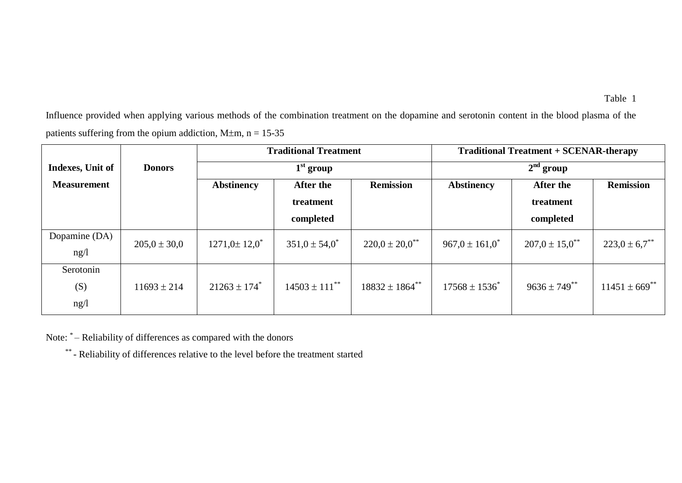Influence provided when applying various methods of the combination treatment on the dopamine and serotonin content in the blood plasma of the patients suffering from the opium addiction,  $M \pm m$ , n = 15-35

|                    |                  | <b>Traditional Treatment</b><br>$1st$ group |                               |                       | <b>Traditional Treatment + SCENAR-therapy</b> |                                |                               |
|--------------------|------------------|---------------------------------------------|-------------------------------|-----------------------|-----------------------------------------------|--------------------------------|-------------------------------|
| Indexes, Unit of   | <b>Donors</b>    |                                             |                               |                       | $2nd$ group                                   |                                |                               |
| <b>Measurement</b> |                  | <b>Abstinency</b>                           | After the                     | <b>Remission</b>      | <b>Abstinency</b>                             | <b>After the</b>               | <b>Remission</b>              |
|                    |                  |                                             | treatment                     |                       |                                               | treatment                      |                               |
|                    |                  |                                             | completed                     |                       |                                               | completed                      |                               |
| Dopamine (DA)      | $205,0 \pm 30,0$ | $1271,0 \pm 12,0$ <sup>*</sup>              | $351,0 \pm 54,0^*$            | $220,0 \pm 20,0^{**}$ | $967.0 \pm 161.0^*$                           | $207.0 \pm 15.0$ <sup>**</sup> | $223.0 \pm 6.7$ <sup>**</sup> |
| ng/l               |                  |                                             |                               |                       |                                               |                                |                               |
| Serotonin          |                  |                                             |                               |                       |                                               |                                |                               |
| (S)                | $11693 \pm 214$  | $21263 \pm 174$ <sup>*</sup>                | $14503 \pm 111$ <sup>**</sup> | $18832 \pm 1864^{**}$ | $17568 \pm 1536^*$                            | $9636 \pm 749$ **              | $11451 \pm 669$ **            |
| ng/l               |                  |                                             |                               |                       |                                               |                                |                               |

Note: \* - Reliability of differences as compared with the donors

\*\* - Reliability of differences relative to the level before the treatment started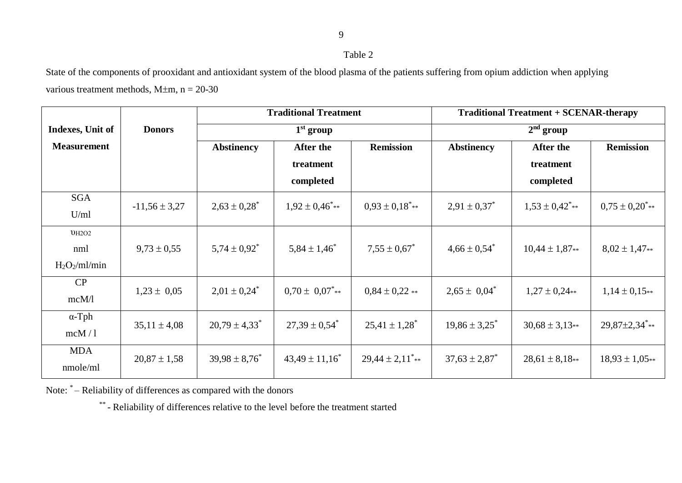9

## Table 2

State of the components of prooxidant and antioxidant system of the blood plasma of the patients suffering from opium addiction when applying various treatment methods,  $M \pm m$ ,  $n = 20-30$ 

|                    |                   | <b>Traditional Treatment</b><br>$1st$ group |                                                                |                                  | <b>Traditional Treatment + SCENAR-therapy</b><br>$2nd$ group |                                |                                 |  |
|--------------------|-------------------|---------------------------------------------|----------------------------------------------------------------|----------------------------------|--------------------------------------------------------------|--------------------------------|---------------------------------|--|
| Indexes, Unit of   | <b>Donors</b>     |                                             |                                                                |                                  |                                                              |                                |                                 |  |
| <b>Measurement</b> |                   | <b>Abstinency</b>                           | <b>After the</b>                                               | <b>Remission</b>                 | <b>Abstinency</b>                                            | After the                      | <b>Remission</b>                |  |
|                    |                   |                                             | treatment                                                      |                                  |                                                              | treatment                      |                                 |  |
|                    |                   |                                             | completed                                                      |                                  |                                                              | completed                      |                                 |  |
| <b>SGA</b>         | $-11,56 \pm 3,27$ | $2,63 \pm 0,28$ <sup>*</sup>                | $1,92 \pm 0,46$ **                                             | $0.93 \pm 0.18$ <sup>*</sup> **  | $2,91 \pm 0,37^*$                                            | $1,53 \pm 0,42$ ***            | $0.75 \pm 0.20$ <sup>*</sup> ** |  |
| U/ml               |                   |                                             |                                                                |                                  |                                                              |                                |                                 |  |
| UH2O2              |                   |                                             |                                                                |                                  |                                                              |                                |                                 |  |
| nml                | $9,73 \pm 0,55$   | $5,74 \pm 0.92$ <sup>*</sup>                | $5,84 \pm 1,46^*$                                              | $7.55 \pm 0.67^*$                | $4,66 \pm 0,54^*$                                            | $10,44 \pm 1,87**$             | $8,02 \pm 1,47**$               |  |
| $H_2O_2/ml/min$    |                   |                                             |                                                                |                                  |                                                              |                                |                                 |  |
| CP                 | $1,23 \pm 0,05$   | $2,01 \pm 0,24^*$                           | $0.70 \pm 0.07$ <sup>*</sup> **                                | $0.84 \pm 0.22$ **               | $2,65 \pm 0,04^*$                                            | $1,27 \pm 0,24**$              | $1,14 \pm 0,15**$               |  |
| mcM/l              |                   |                                             |                                                                |                                  |                                                              |                                |                                 |  |
| $\alpha$ -Tph      | $35,11 \pm 4,08$  | $20,79 \pm 4,33$ <sup>*</sup>               | $25,41 \pm 1,28$ <sup>*</sup><br>$27,39 \pm 0,54$ <sup>*</sup> | $19,86 \pm 3,25^*$               | $30,68 \pm 3,13**$                                           | $29,87\pm2,34$ <sup>*</sup> ** |                                 |  |
| mcM/1              |                   |                                             |                                                                |                                  |                                                              |                                |                                 |  |
| <b>MDA</b>         | $20,87 \pm 1,58$  | $39,98 \pm 8,76$ <sup>*</sup>               | $43,49 \pm 11,16^*$                                            | $29,44 \pm 2,11$ <sup>*</sup> ** | $37,63 \pm 2,87$ <sup>*</sup>                                | $28,61 \pm 8,18**$             | $18,93 \pm 1,05**$              |  |
| nmole/ml           |                   |                                             |                                                                |                                  |                                                              |                                |                                 |  |

Note: \*- Reliability of differences as compared with the donors

\*\* - Reliability of differences relative to the level before the treatment started